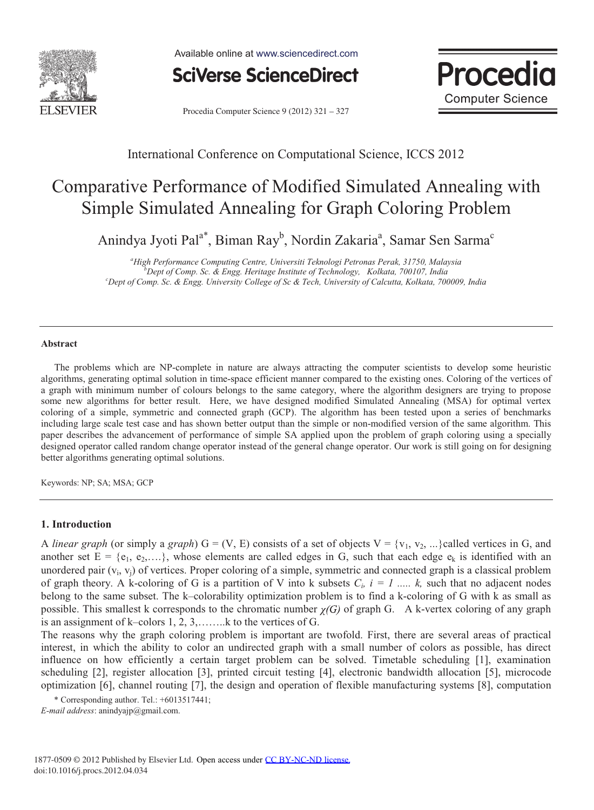

Available online at www.sciencedirect.com



Procedia Computer Science 9 (2012) 321 - 327



## International Conference on Computational Science, ICCS 2012

# Comparative Performance of Modified Simulated Annealing with Simple Simulated Annealing for Graph Coloring Problem

Anindya Jyoti Pal<sup>a\*</sup>, Biman Ray<sup>b</sup>, Nordin Zakaria<sup>a</sup>, Samar Sen Sarma<sup>c</sup>

*a High Performance Computing Centre, Universiti Teknologi Petronas Perak, 31750, Malaysia <sup>b</sup> Dept of Comp. Sc. & Engg. Heritage Institute of Technology, Kolkata, 700107, India c Dept of Comp. Sc. & Engg. University College of Sc & Tech, University of Calcutta, Kolkata, 700009, India*

#### **Abstract**

The problems which are NP-complete in nature are always attracting the computer scientists to develop some heuristic algorithms, generating optimal solution in time-space efficient manner compared to the existing ones. Coloring of the vertices of a graph with minimum number of colours belongs to the same category, where the algorithm designers are trying to propose some new algorithms for better result. Here, we have designed modified Simulated Annealing (MSA) for optimal vertex coloring of a simple, symmetric and connected graph (GCP). The algorithm has been tested upon a series of benchmarks including large scale test case and has shown better output than the simple or non-modified version of the same algorithm. This paper describes the advancement of performance of simple SA applied upon the problem of graph coloring using a specially designed operator called random change operator instead of the general change operator. Our work is still going on for designing better algorithms generating optimal solutions.

Keywords: NP; SA; MSA; GCP

## **1. Introduction**

A *linear graph* (or simply a *graph*)  $G = (V, E)$  consists of a set of objects  $V = \{v_1, v_2, ...\}$ called vertices in G, and another set  $E = \{e_1, e_2, \dots\}$ , whose elements are called edges in G, such that each edge  $e_k$  is identified with an unordered pair  $(v_i, v_j)$  of vertices. Proper coloring of a simple, symmetric and connected graph is a classical problem of graph theory. A k-coloring of G is a partition of V into k subsets  $C_i$ ,  $i = 1, ..., k$ , such that no adjacent nodes belong to the same subset. The k–colorability optimization problem is to find a k-coloring of G with k as small as possible. This smallest k corresponds to the chromatic number  $\chi(G)$  of graph G. A k-vertex coloring of any graph is an assignment of k–colors 1, 2, 3,……..k to the vertices of G.

The reasons why the graph coloring problem is important are twofold. First, there are several areas of practical interest, in which the ability to color an undirected graph with a small number of colors as possible, has direct influence on how efficiently a certain target problem can be solved. Timetable scheduling [1], examination scheduling [2], register allocation [3], printed circuit testing [4], electronic bandwidth allocation [5], microcode optimization [6], channel routing [7], the design and operation of flexible manufacturing systems [8], computation

\* Corresponding author. Tel.: +6013517441; *E-mail address*: anindyajp@gmail.com.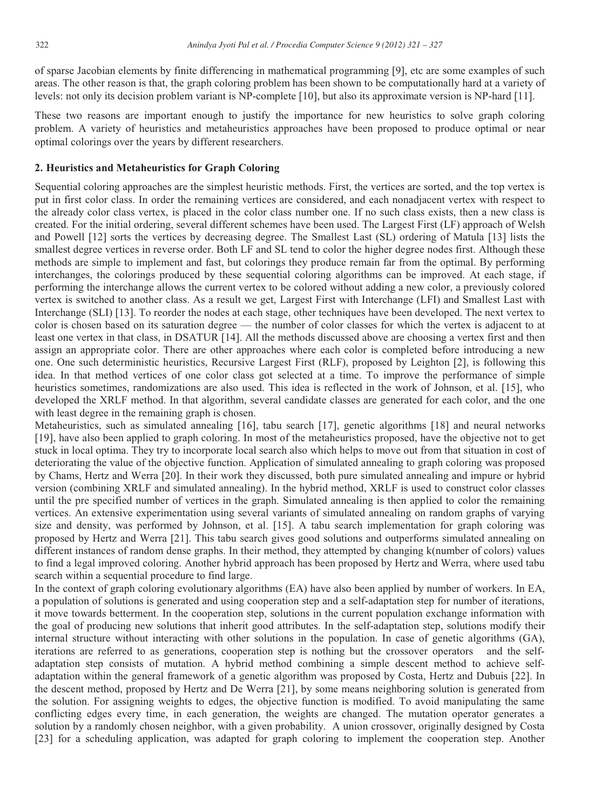of sparse Jacobian elements by finite differencing in mathematical programming [9], etc are some examples of such areas. The other reason is that, the graph coloring problem has been shown to be computationally hard at a variety of levels: not only its decision problem variant is NP-complete [10], but also its approximate version is NP-hard [11].

These two reasons are important enough to justify the importance for new heuristics to solve graph coloring problem. A variety of heuristics and metaheuristics approaches have been proposed to produce optimal or near optimal colorings over the years by different researchers.

## **2. Heuristics and Metaheuristics for Graph Coloring**

Sequential coloring approaches are the simplest heuristic methods. First, the vertices are sorted, and the top vertex is put in first color class. In order the remaining vertices are considered, and each nonadjacent vertex with respect to the already color class vertex, is placed in the color class number one. If no such class exists, then a new class is created. For the initial ordering, several different schemes have been used. The Largest First (LF) approach of Welsh and Powell [12] sorts the vertices by decreasing degree. The Smallest Last (SL) ordering of Matula [13] lists the smallest degree vertices in reverse order. Both LF and SL tend to color the higher degree nodes first. Although these methods are simple to implement and fast, but colorings they produce remain far from the optimal. By performing interchanges, the colorings produced by these sequential coloring algorithms can be improved. At each stage, if performing the interchange allows the current vertex to be colored without adding a new color, a previously colored vertex is switched to another class. As a result we get, Largest First with Interchange (LFI) and Smallest Last with Interchange (SLI) [13]. To reorder the nodes at each stage, other techniques have been developed. The next vertex to color is chosen based on its saturation degree — the number of color classes for which the vertex is adjacent to at least one vertex in that class, in DSATUR [14]. All the methods discussed above are choosing a vertex first and then assign an appropriate color. There are other approaches where each color is completed before introducing a new one. One such deterministic heuristics, Recursive Largest First (RLF), proposed by Leighton [2], is following this idea. In that method vertices of one color class got selected at a time. To improve the performance of simple heuristics sometimes, randomizations are also used. This idea is reflected in the work of Johnson, et al. [15], who developed the XRLF method. In that algorithm, several candidate classes are generated for each color, and the one with least degree in the remaining graph is chosen.

Metaheuristics, such as simulated annealing [16], tabu search [17], genetic algorithms [18] and neural networks [19], have also been applied to graph coloring. In most of the metaheuristics proposed, have the objective not to get stuck in local optima. They try to incorporate local search also which helps to move out from that situation in cost of deteriorating the value of the objective function. Application of simulated annealing to graph coloring was proposed by Chams, Hertz and Werra [20]. In their work they discussed, both pure simulated annealing and impure or hybrid version (combining XRLF and simulated annealing). In the hybrid method, XRLF is used to construct color classes until the pre specified number of vertices in the graph. Simulated annealing is then applied to color the remaining vertices. An extensive experimentation using several variants of simulated annealing on random graphs of varying size and density, was performed by Johnson, et al. [15]. A tabu search implementation for graph coloring was proposed by Hertz and Werra [21]. This tabu search gives good solutions and outperforms simulated annealing on different instances of random dense graphs. In their method, they attempted by changing k(number of colors) values to find a legal improved coloring. Another hybrid approach has been proposed by Hertz and Werra, where used tabu search within a sequential procedure to find large.

In the context of graph coloring evolutionary algorithms (EA) have also been applied by number of workers. In EA, a population of solutions is generated and using cooperation step and a self-adaptation step for number of iterations, it move towards betterment. In the cooperation step, solutions in the current population exchange information with the goal of producing new solutions that inherit good attributes. In the self-adaptation step, solutions modify their internal structure without interacting with other solutions in the population. In case of genetic algorithms (GA), iterations are referred to as generations, cooperation step is nothing but the crossover operators and the selfadaptation step consists of mutation. A hybrid method combining a simple descent method to achieve selfadaptation within the general framework of a genetic algorithm was proposed by Costa, Hertz and Dubuis [22]. In the descent method, proposed by Hertz and De Werra [21], by some means neighboring solution is generated from the solution. For assigning weights to edges, the objective function is modified. To avoid manipulating the same conflicting edges every time, in each generation, the weights are changed. The mutation operator generates a solution by a randomly chosen neighbor, with a given probability. A union crossover, originally designed by Costa [23] for a scheduling application, was adapted for graph coloring to implement the cooperation step. Another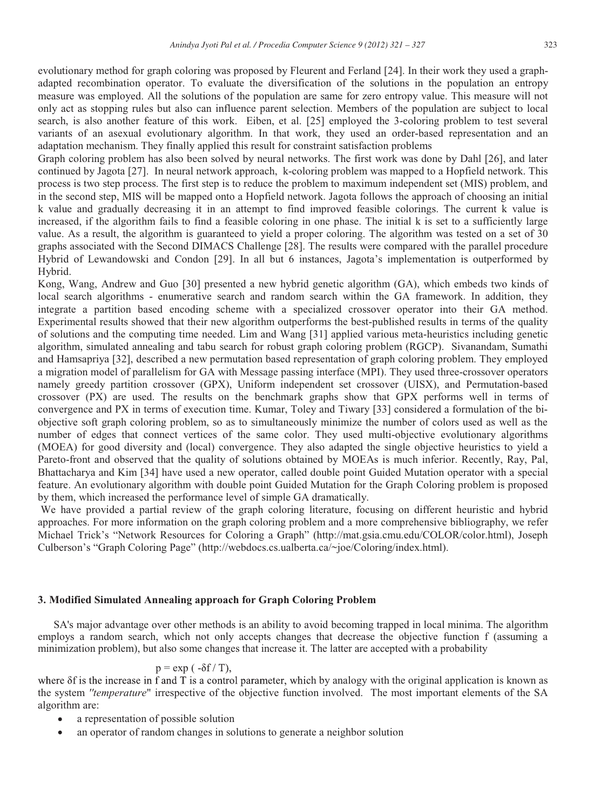evolutionary method for graph coloring was proposed by Fleurent and Ferland [24]. In their work they used a graphadapted recombination operator. To evaluate the diversification of the solutions in the population an entropy measure was employed. All the solutions of the population are same for zero entropy value. This measure will not only act as stopping rules but also can influence parent selection. Members of the population are subject to local search, is also another feature of this work. Eiben, et al. [25] employed the 3-coloring problem to test several variants of an asexual evolutionary algorithm. In that work, they used an order-based representation and an adaptation mechanism. They finally applied this result for constraint satisfaction problems

Graph coloring problem has also been solved by neural networks. The first work was done by Dahl [26], and later continued by Jagota [27]. In neural network approach, k-coloring problem was mapped to a Hopfield network. This process is two step process. The first step is to reduce the problem to maximum independent set (MIS) problem, and in the second step, MIS will be mapped onto a Hopfield network. Jagota follows the approach of choosing an initial k value and gradually decreasing it in an attempt to find improved feasible colorings. The current k value is increased, if the algorithm fails to find a feasible coloring in one phase. The initial k is set to a sufficiently large value. As a result, the algorithm is guaranteed to yield a proper coloring. The algorithm was tested on a set of 30 graphs associated with the Second DIMACS Challenge [28]. The results were compared with the parallel procedure Hybrid of Lewandowski and Condon [29]. In all but 6 instances, Jagota's implementation is outperformed by Hybrid.

Kong, Wang, Andrew and Guo [30] presented a new hybrid genetic algorithm (GA), which embeds two kinds of local search algorithms - enumerative search and random search within the GA framework. In addition, they integrate a partition based encoding scheme with a specialized crossover operator into their GA method. Experimental results showed that their new algorithm outperforms the best-published results in terms of the quality of solutions and the computing time needed. Lim and Wang [31] applied various meta-heuristics including genetic algorithm, simulated annealing and tabu search for robust graph coloring problem (RGCP). Sivanandam, Sumathi and Hamsapriya [32], described a new permutation based representation of graph coloring problem. They employed a migration model of parallelism for GA with Message passing interface (MPI). They used three-crossover operators namely greedy partition crossover (GPX), Uniform independent set crossover (UISX), and Permutation-based crossover (PX) are used. The results on the benchmark graphs show that GPX performs well in terms of convergence and PX in terms of execution time. Kumar, Toley and Tiwary [33] considered a formulation of the biobjective soft graph coloring problem, so as to simultaneously minimize the number of colors used as well as the number of edges that connect vertices of the same color. They used multi-objective evolutionary algorithms (MOEA) for good diversity and (local) convergence. They also adapted the single objective heuristics to yield a Pareto-front and observed that the quality of solutions obtained by MOEAs is much inferior. Recently, Ray, Pal, Bhattacharya and Kim [34] have used a new operator, called double point Guided Mutation operator with a special feature. An evolutionary algorithm with double point Guided Mutation for the Graph Coloring problem is proposed by them, which increased the performance level of simple GA dramatically.

 We have provided a partial review of the graph coloring literature, focusing on different heuristic and hybrid approaches. For more information on the graph coloring problem and a more comprehensive bibliography, we refer Michael Trick's "Network Resources for Coloring a Graph" (http://mat.gsia.cmu.edu/COLOR/color.html), Joseph Culberson's "Graph Coloring Page" (http://webdocs.cs.ualberta.ca/~joe/Coloring/index.html).

## **3. Modified Simulated Annealing approach for Graph Coloring Problem**

SA's major advantage over other methods is an ability to avoid becoming trapped in local minima. The algorithm employs a random search, which not only accepts changes that decrease the objective function f (assuming a minimization problem), but also some changes that increase it. The latter are accepted with a probability

#### $p = exp(-\delta f/T)$ ,

where  $\delta f$  is the increase in f and T is a control parameter, which by analogy with the original application is known as the system *''temperature*" irrespective of the objective function involved. The most important elements of the SA algorithm are:

- a representation of possible solution
- an operator of random changes in solutions to generate a neighbor solution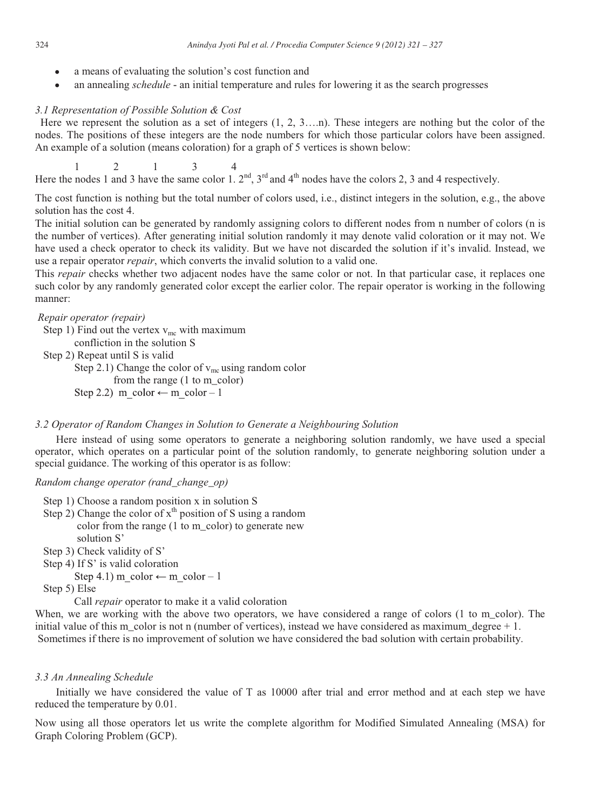- a means of evaluating the solution's cost function and  $\bullet$
- an annealing *schedule*  an initial temperature and rules for lowering it as the search progresses

## *3.1 Representation of Possible Solution & Cost*

Here we represent the solution as a set of integers  $(1, 2, 3, \ldots)$ . These integers are nothing but the color of the nodes. The positions of these integers are the node numbers for which those particular colors have been assigned. An example of a solution (means coloration) for a graph of 5 vertices is shown below:

1 2 1 3 4

Here the nodes 1 and 3 have the same color 1.  $2^{nd}$ ,  $3^{rd}$  and  $4^{th}$  nodes have the colors 2, 3 and 4 respectively.

The cost function is nothing but the total number of colors used, i.e., distinct integers in the solution, e.g., the above solution has the cost 4.

The initial solution can be generated by randomly assigning colors to different nodes from n number of colors (n is the number of vertices). After generating initial solution randomly it may denote valid coloration or it may not. We have used a check operator to check its validity. But we have not discarded the solution if it's invalid. Instead, we use a repair operator *repair*, which converts the invalid solution to a valid one.

This *repair* checks whether two adjacent nodes have the same color or not. In that particular case, it replaces one such color by any randomly generated color except the earlier color. The repair operator is working in the following manner:

## *Repair operator (repair)*

Step 1) Find out the vertex  $v_{\text{mc}}$  with maximum confliction in the solution S Step 2) Repeat until S is valid Step 2.1) Change the color of  $v_{\text{mc}}$  using random color from the range (1 to m\_color) Step 2.2)  $m_{\text{color}} \leftarrow m_{\text{color}} - 1$ 

## *3.2 Operator of Random Changes in Solution to Generate a Neighbouring Solution*

 Here instead of using some operators to generate a neighboring solution randomly, we have used a special operator, which operates on a particular point of the solution randomly, to generate neighboring solution under a special guidance. The working of this operator is as follow:

*Random change operator (rand\_change\_op)* 

Step 1) Choose a random position x in solution S

Step 2) Change the color of  $x<sup>th</sup>$  position of S using a random color from the range (1 to m\_color) to generate new solution S'

Step 3) Check validity of S'

Step 4) If S' is valid coloration

Step 4.1) m color  $\leftarrow$  m color - 1

Step 5) Else

Call *repair* operator to make it a valid coloration

When, we are working with the above two operators, we have considered a range of colors (1 to m\_color). The initial value of this m\_color is not n (number of vertices), instead we have considered as maximum\_degree + 1. Sometimes if there is no improvement of solution we have considered the bad solution with certain probability.

## *3.3 An Annealing Schedule*

 Initially we have considered the value of T as 10000 after trial and error method and at each step we have reduced the temperature by 0.01.

Now using all those operators let us write the complete algorithm for Modified Simulated Annealing (MSA) for Graph Coloring Problem (GCP).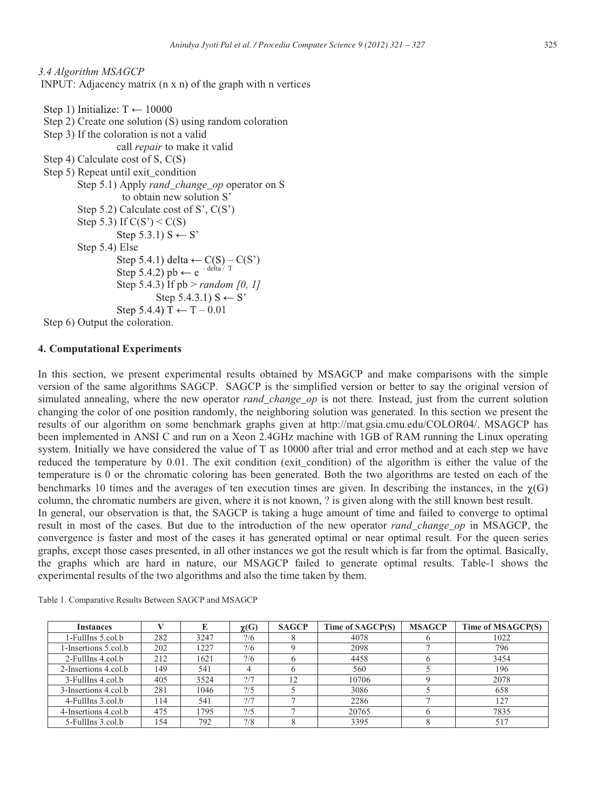*3.4 Algorithm MSAGCP*  INPUT: Adjacency matrix (n x n) of the graph with n vertices

```
Step 1) Initialize: T \leftarrow 10000 Step 2) Create one solution (S) using random coloration 
 Step 3) If the coloration is not a valid 
                   call repair to make it valid 
 Step 4) Calculate cost of S, C(S) 
Step 5) Repeat until exit condition
        Step 5.1) Apply rand_change_op operator on S 
                     to obtain new solution S' 
        Step 5.2) Calculate cost of S', C(S') 
        Step 5.3) If C(S') < C(S)Step 5.3.1) S \leftarrow S'Step 5.4) Else 
                   Step 5.4.1) delta \leftarrow C(S) - C(S')Step 5.4.2) pb \leftarrow e<sup>-delta'</sup> T
                    Step 5.4.3) If pb > random [0, 1] 
                             Step 5.4.3.1) S \leftarrow S'Step 5.4.4) T \leftarrow T - 0.01 Step 6) Output the coloration.
```
#### **4. Computational Experiments**

In this section, we present experimental results obtained by MSAGCP and make comparisons with the simple version of the same algorithms SAGCP. SAGCP is the simplified version or better to say the original version of simulated annealing, where the new operator *rand\_change\_op* is not there*.* Instead, just from the current solution changing the color of one position randomly, the neighboring solution was generated. In this section we present the results of our algorithm on some benchmark graphs given at http://mat.gsia.cmu.edu/COLOR04/. MSAGCP has been implemented in ANSI C and run on a Xeon 2.4GHz machine with 1GB of RAM running the Linux operating system. Initially we have considered the value of T as 10000 after trial and error method and at each step we have reduced the temperature by 0.01. The exit condition (exit\_condition) of the algorithm is either the value of the temperature is 0 or the chromatic coloring has been generated. Both the two algorithms are tested on each of the benchmarks 10 times and the averages of ten execution times are given. In describing the instances, in the  $\gamma(G)$ column, the chromatic numbers are given, where it is not known, ? is given along with the still known best result. In general, our observation is that, the SAGCP is taking a huge amount of time and failed to converge to optimal result in most of the cases. But due to the introduction of the new operator *rand\_change\_op* in MSAGCP, the convergence is faster and most of the cases it has generated optimal or near optimal result. For the queen series graphs, except those cases presented, in all other instances we got the result which is far from the optimal. Basically, the graphs which are hard in nature, our MSAGCP failed to generate optimal results. Table-1 shows the experimental results of the two algorithms and also the time taken by them.

| <b>Instances</b>     |     |      | $\chi(G)$     | <b>SAGCP</b>   | Time of SAGCP(S) | <b>MSAGCP</b> | Time of MSAGCP(S) |
|----------------------|-----|------|---------------|----------------|------------------|---------------|-------------------|
| 1-FullIns 5.col.b    | 282 | 3247 | $\frac{2}{6}$ |                | 4078             |               | 1022              |
| 1-Insertions 5.col.b | 202 | 1227 | 2/6           |                | 2098             |               | 796               |
| 2-FullIns 4.col.b    | 212 | 1621 | $\frac{2}{6}$ |                | 4458             |               | 3454              |
| 2-Insertions 4.col.b | 149 | 541  |               |                | 560              |               | 196               |
| 3-FullIns 4.col.b    | 405 | 3524 | 2/7           | 1 <sub>2</sub> | 10706            |               | 2078              |
| 3-Insertions 4.col.b | 281 | 1046 | 2/5           |                | 3086             |               | 658               |
| 4-FullIns 3.col.b    | 114 | 541  | ?77           |                | 2286             |               | 127               |
| 4-Insertions 4.col.b | 475 | 1795 | 2/5           |                | 20765            |               | 7835              |
| 5-FullIns 3.col.b    | 154 | 792  | 2/8           |                | 3395             |               | 517               |

Table 1. Comparative Results Between SAGCP and MSAGCP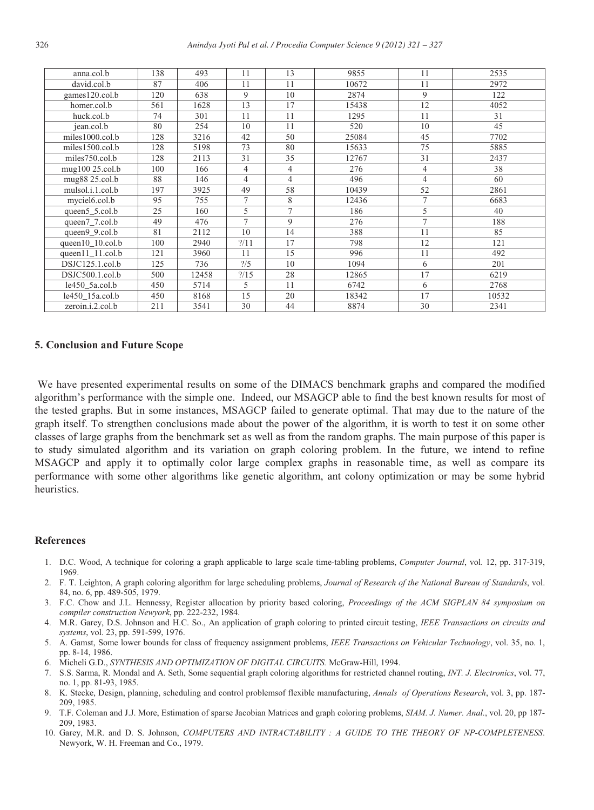| anna.col.b               | 138 | 493   | 11             | 13             | 9855  | 11             | 2535  |
|--------------------------|-----|-------|----------------|----------------|-------|----------------|-------|
| david.col.b              | 87  | 406   | 11             | 11             | 10672 | 11             | 2972  |
| games120.col.b           | 120 | 638   | 9              | 10             | 2874  | 9              | 122   |
| homer.col.b              | 561 | 1628  | 13             | 17             | 15438 | 12             | 4052  |
| huck.col.b               | 74  | 301   | 11             | 11             | 1295  | 11             | 31    |
| jean.col.b               | 80  | 254   | 10             | 11             | 520   | 10             | 45    |
| miles1000.col.b          | 128 | 3216  | 42             | 50             | 25084 | 45             | 7702  |
| miles1500.col.b          | 128 | 5198  | 73             | 80             | 15633 | 75             | 5885  |
| miles750.col.b           | 128 | 2113  | 31             | 35             | 12767 | 31             | 2437  |
| mug100 25.col.b          | 100 | 166   | $\overline{4}$ | $\overline{4}$ | 276   | $\overline{4}$ | 38    |
| mug88 25.col.b           | 88  | 146   | $\overline{4}$ | $\overline{4}$ | 496   | $\overline{4}$ | 60    |
| mulsol.i.1.col.b         | 197 | 3925  | 49             | 58             | 10439 | 52             | 2861  |
| myciel6.col.b            | 95  | 755   | 7              | 8              | 12436 | $\tau$         | 6683  |
| queen5 5.col.b           | 25  | 160   | 5              | $\overline{7}$ | 186   | 5              | 40    |
| queen7 7.col.b           | 49  | 476   | $\overline{7}$ | $\mathbf Q$    | 276   | $\tau$         | 188   |
| queen9 9.col.b           | 81  | 2112  | 10             | 14             | 388   | 11             | 85    |
| queen $10$ $10$ col.b    | 100 | 2940  | 2/11           | 17             | 798   | 12             | 121   |
| queen $11$ _ $11$ .col.b | 121 | 3960  | 11             | 1.5            | 996   | 11             | 492   |
| $DSJC125.1$ .col.b       | 125 | 736   | $\frac{2}{5}$  | 10             | 1094  | 6              | 201   |
| $DSJC500.1$ .col.b       | 500 | 12458 | 2/15           | 28             | 12865 | 17             | 6219  |
| $le450$ $5a.col.b$       | 450 | 5714  | 5              | 11             | 6742  | 6              | 2768  |
| le450 15a.col.b          | 450 | 8168  | 15             | 20             | 18342 | 17             | 10532 |
| zeroin.i.2.col.b         | 211 | 3541  | 30             | 44             | 8874  | 30             | 2341  |

#### **5. Conclusion and Future Scope**

We have presented experimental results on some of the DIMACS benchmark graphs and compared the modified algorithm's performance with the simple one. Indeed, our MSAGCP able to find the best known results for most of the tested graphs. But in some instances, MSAGCP failed to generate optimal. That may due to the nature of the graph itself. To strengthen conclusions made about the power of the algorithm, it is worth to test it on some other classes of large graphs from the benchmark set as well as from the random graphs. The main purpose of this paper is to study simulated algorithm and its variation on graph coloring problem. In the future, we intend to refine MSAGCP and apply it to optimally color large complex graphs in reasonable time, as well as compare its performance with some other algorithms like genetic algorithm, ant colony optimization or may be some hybrid heuristics.

#### **References**

- 1. D.C. Wood, A technique for coloring a graph applicable to large scale time-tabling problems, *Computer Journal*, vol. 12, pp. 317-319, 1969.
- 2. F. T. Leighton, A graph coloring algorithm for large scheduling problems, *Journal of Research of the National Bureau of Standards*, vol. 84, no. 6, pp. 489-505, 1979.
- 3. F.C. Chow and J.L. Hennessy, Register allocation by priority based coloring, *Proceedings of the ACM SIGPLAN 84 symposium on compiler construction Newyork*, pp. 222-232, 1984.
- 4. M.R. Garey, D.S. Johnson and H.C. So., An application of graph coloring to printed circuit testing, *IEEE Transactions on circuits and systems*, vol. 23, pp. 591-599, 1976.
- 5. A. Gamst, Some lower bounds for class of frequency assignment problems, *IEEE Transactions on Vehicular Technology*, vol. 35, no. 1, pp. 8-14, 1986.
- 6. Micheli G.D., *SYNTHESIS AND OPTIMIZATION OF DIGITAL CIRCUITS.* McGraw-Hill, 1994.
- 7. S.S. Sarma, R. Mondal and A. Seth, Some sequential graph coloring algorithms for restricted channel routing, *INT. J. Electronics*, vol. 77, no. 1, pp. 81-93, 1985.
- 8. K. Stecke, Design, planning, scheduling and control problemsof flexible manufacturing, *Annals of Operations Research*, vol. 3, pp. 187- 209, 1985.
- 9. T.F. Coleman and J.J. More, Estimation of sparse Jacobian Matrices and graph coloring problems, *SIAM. J. Numer. Anal.*, vol. 20, pp 187- 209, 1983.
- 10. Garey, M.R. and D. S. Johnson, *COMPUTERS AND INTRACTABILITY : A GUIDE TO THE THEORY OF NP-COMPLETENESS*. Newyork, W. H. Freeman and Co., 1979.